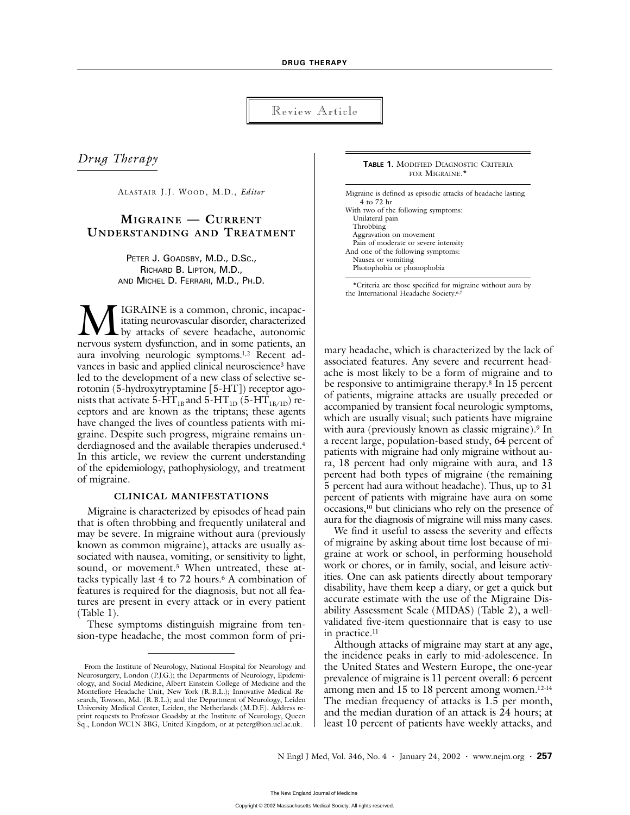# Review Article

# *Drug Therapy*

ALASTAIR J.J. WOOD, M.D., *Editor* 

# **MIGRAINE — CURRENT UNDERSTANDING AND TREATMENT**

PETER J. GOADSBY, M.D., D.SC., RICHARD B. LIPTON, M.D., AND MICHEL D. FERRARI, M.D., PH.D.

IGRAINE is a common, chronic, incapacitating neurovascular disorder, characterized by attacks of severe headache, autonomic **M** IGRAINE is a common, chronic, incapacitating neurovascular disorder, characterized by attacks of severe headache, autonomic nervous system dysfunction, and in some patients, an aura involving neurologic symptoms.1,2 Recent advances in basic and applied clinical neuroscience<sup>3</sup> have led to the development of a new class of selective serotonin (5-hydroxytryptamine [5-HT]) receptor agonists that activate  $5-HT_{1B}$  and  $5-HT_{1D}$  (5-HT<sub>1B/1D</sub>) receptors and are known as the triptans; these agents have changed the lives of countless patients with migraine. Despite such progress, migraine remains underdiagnosed and the available therapies underused.4 In this article, we review the current understanding of the epidemiology, pathophysiology, and treatment of migraine.

## **CLINICAL MANIFESTATIONS**

Migraine is characterized by episodes of head pain that is often throbbing and frequently unilateral and may be severe. In migraine without aura (previously known as common migraine), attacks are usually associated with nausea, vomiting, or sensitivity to light, sound, or movement.<sup>5</sup> When untreated, these attacks typically last 4 to 72 hours.<sup>6</sup> A combination of features is required for the diagnosis, but not all features are present in every attack or in every patient (Table 1).

These symptoms distinguish migraine from tension-type headache, the most common form of pri**TABLE 1.** MODIFIED DIAGNOSTIC CRITERIA FOR MIGRAINE.\*

Migraine is defined as episodic attacks of headache lasting 4 to 72 hr With two of the following symptoms: Unilateral pain Throbbing Aggravation on movement Pain of moderate or severe intensity And one of the following symptoms: Nausea or vomiting Photophobia or phonophobia

\*Criteria are those specified for migraine without aura by the International Headache Society.<sup>6</sup>

mary headache, which is characterized by the lack of associated features. Any severe and recurrent headache is most likely to be a form of migraine and to be responsive to antimigraine therapy.8 In 15 percent of patients, migraine attacks are usually preceded or accompanied by transient focal neurologic symptoms, which are usually visual; such patients have migraine with aura (previously known as classic migraine).<sup>9</sup> In a recent large, population-based study, 64 percent of patients with migraine had only migraine without aura, 18 percent had only migraine with aura, and 13 percent had both types of migraine (the remaining 5 percent had aura without headache). Thus, up to 31 percent of patients with migraine have aura on some occasions,10 but clinicians who rely on the presence of aura for the diagnosis of migraine will miss many cases.

We find it useful to assess the severity and effects of migraine by asking about time lost because of migraine at work or school, in performing household work or chores, or in family, social, and leisure activities. One can ask patients directly about temporary disability, have them keep a diary, or get a quick but accurate estimate with the use of the Migraine Disability Assessment Scale (MIDAS) (Table 2), a wellvalidated five-item questionnaire that is easy to use in practice.<sup>11</sup>

Although attacks of migraine may start at any age, the incidence peaks in early to mid-adolescence. In the United States and Western Europe, the one-year prevalence of migraine is 11 percent overall: 6 percent among men and 15 to 18 percent among women.12-14 The median frequency of attacks is 1.5 per month, and the median duration of an attack is 24 hours; at least 10 percent of patients have weekly attacks, and

From the Institute of Neurology, National Hospital for Neurology and Neurosurgery, London (P.J.G.); the Departments of Neurology, Epidemiology, and Social Medicine, Albert Einstein College of Medicine and the Montefiore Headache Unit, New York (R.B.L.); Innovative Medical Research, Towson, Md. (R.B.L.); and the Department of Neurology, Leiden University Medical Center, Leiden, the Netherlands (M.D.F.). Address reprint requests to Professor Goadsby at the Institute of Neurology, Queen Sq., London WC1N 3BG, United Kingdom, or at peterg@ion.ucl.ac.uk.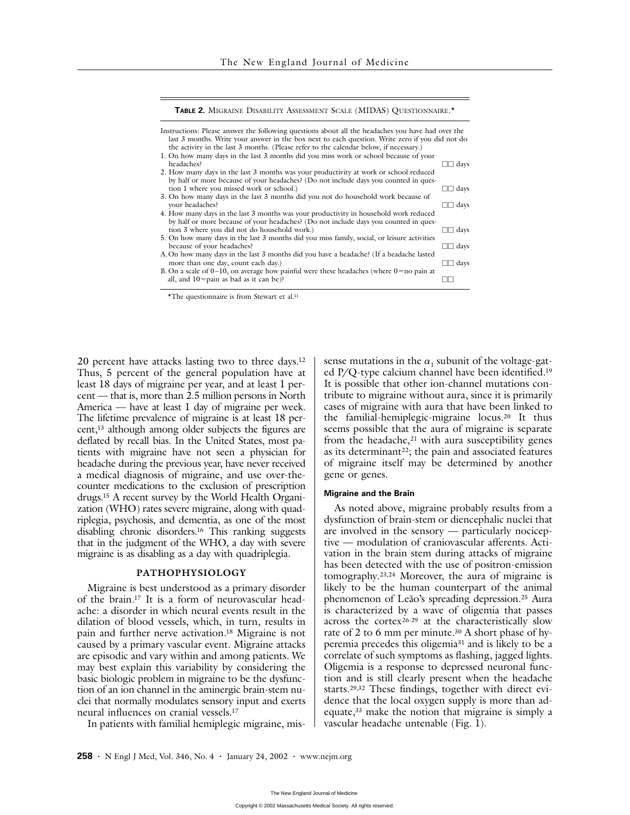**TABLE 2.** MIGRAINE DISABILITY ASSESSMENT SCALE (MIDAS) QUESTIONNAIRE.\*

| Instructions: Please answer the following questions about all the headaches you have had over the<br>last 3 months. Write your answer in the box next to each question. Write zero if you did not do<br>the activity in the last 3 months. (Please refer to the calendar below, if necessary.) |                       |
|------------------------------------------------------------------------------------------------------------------------------------------------------------------------------------------------------------------------------------------------------------------------------------------------|-----------------------|
| 1. On how many days in the last 3 months did you miss work or school because of your                                                                                                                                                                                                           |                       |
| headaches?                                                                                                                                                                                                                                                                                     | $\square\square$ days |
| 2. How many days in the last 3 months was your productivity at work or school reduced                                                                                                                                                                                                          |                       |
| by half or more because of your headaches? (Do not include days you counted in ques-                                                                                                                                                                                                           |                       |
| tion 1 where you missed work or school.)                                                                                                                                                                                                                                                       | $\square\square$ days |
| 3. On how many days in the last 3 months did you not do household work because of                                                                                                                                                                                                              |                       |
| your headaches?                                                                                                                                                                                                                                                                                | $\square\square$ days |
| 4. How many days in the last 3 months was your productivity in household work reduced                                                                                                                                                                                                          |                       |
| by half or more because of your headaches? (Do not include days you counted in ques-                                                                                                                                                                                                           |                       |
| tion 3 where you did not do household work.)                                                                                                                                                                                                                                                   | $\square\square$ days |
| 5. On how many days in the last 3 months did you miss family, social, or leisure activities                                                                                                                                                                                                    |                       |
| because of your headaches?                                                                                                                                                                                                                                                                     | $\square\square$ days |
| A. On how many days in the last 3 months did you have a headache? (If a headache lasted                                                                                                                                                                                                        |                       |
| more than one day, count each day.)                                                                                                                                                                                                                                                            | $\square\square$ days |
| B. On a scale of $0-10$ , on average how painful were these headaches (where $0=$ no pain at                                                                                                                                                                                                   |                       |
| all, and $10 = \pi a$ as bad as it can be)?                                                                                                                                                                                                                                                    |                       |
| *The questionnaire is from Stewart et al. <sup>11</sup>                                                                                                                                                                                                                                        |                       |

20 percent have attacks lasting two to three days.12 Thus, 5 percent of the general population have at least 18 days of migraine per year, and at least 1 percent — that is, more than 2.5 million persons in North America — have at least 1 day of migraine per week. The lifetime prevalence of migraine is at least 18 percent,13 although among older subjects the figures are deflated by recall bias. In the United States, most patients with migraine have not seen a physician for headache during the previous year, have never received a medical diagnosis of migraine, and use over-thecounter medications to the exclusion of prescription drugs.15 A recent survey by the World Health Organization (WHO) rates severe migraine, along with quadriplegia, psychosis, and dementia, as one of the most disabling chronic disorders.16 This ranking suggests that in the judgment of the WHO, a day with severe migraine is as disabling as a day with quadriplegia.

## **PATHOPHYSIOLOGY**

Migraine is best understood as a primary disorder of the brain.17 It is a form of neurovascular headache: a disorder in which neural events result in the dilation of blood vessels, which, in turn, results in pain and further nerve activation.18 Migraine is not caused by a primary vascular event. Migraine attacks are episodic and vary within and among patients. We may best explain this variability by considering the basic biologic problem in migraine to be the dysfunction of an ion channel in the aminergic brain-stem nuclei that normally modulates sensory input and exerts neural influences on cranial vessels.17

In patients with familial hemiplegic migraine, mis-

sense mutations in the  $\alpha_1$  subunit of the voltage-gated P/Q-type calcium channel have been identified.19 It is possible that other ion-channel mutations contribute to migraine without aura, since it is primarily cases of migraine with aura that have been linked to the familial-hemiplegic-migraine locus.20 It thus seems possible that the aura of migraine is separate from the headache,<sup>21</sup> with aura susceptibility genes as its determinant<sup>22</sup>; the pain and associated features of migraine itself may be determined by another gene or genes.

## **Migraine and the Brain**

As noted above, migraine probably results from a dysfunction of brain-stem or diencephalic nuclei that are involved in the sensory — particularly nociceptive — modulation of craniovascular afferents. Activation in the brain stem during attacks of migraine has been detected with the use of positron-emission tomography.23,24 Moreover, the aura of migraine is likely to be the human counterpart of the animal phenomenon of Leão's spreading depression.25 Aura is characterized by a wave of oligemia that passes across the cortex<sup>26-29</sup> at the characteristically slow rate of 2 to 6 mm per minute.<sup>30</sup> A short phase of hyperemia precedes this oligemia31 and is likely to be a correlate of such symptoms as flashing, jagged lights. Oligemia is a response to depressed neuronal function and is still clearly present when the headache starts.29,32 These findings, together with direct evidence that the local oxygen supply is more than adequate,33 make the notion that migraine is simply a vascular headache untenable (Fig. 1).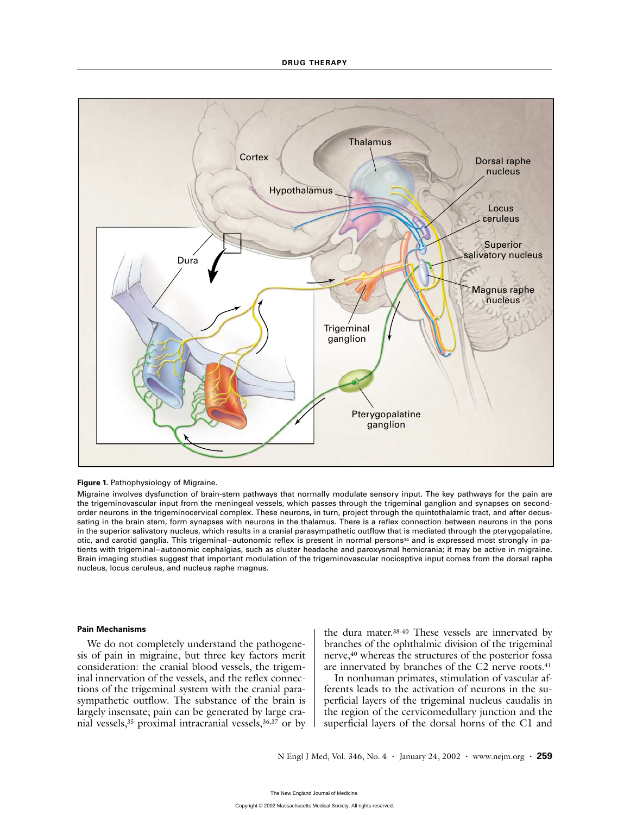

#### **Figure 1.** Pathophysiology of Migraine.

Migraine involves dysfunction of brain-stem pathways that normally modulate sensory input. The key pathways for the pain are the trigeminovascular input from the meningeal vessels, which passes through the trigeminal ganglion and synapses on secondorder neurons in the trigeminocervical complex. These neurons, in turn, project through the quintothalamic tract, and after decussating in the brain stem, form synapses with neurons in the thalamus. There is a reflex connection between neurons in the pons in the superior salivatory nucleus, which results in a cranial parasympathetic outflow that is mediated through the pterygopalatine, otic, and carotid ganglia. This trigeminal–autonomic reflex is present in normal persons<sup>34</sup> and is expressed most strongly in patients with trigeminal–autonomic cephalgias, such as cluster headache and paroxysmal hemicrania; it may be active in migraine. Brain imaging studies suggest that important modulation of the trigeminovascular nociceptive input comes from the dorsal raphe nucleus, locus ceruleus, and nucleus raphe magnus.

#### **Pain Mechanisms**

We do not completely understand the pathogenesis of pain in migraine, but three key factors merit consideration: the cranial blood vessels, the trigeminal innervation of the vessels, and the reflex connections of the trigeminal system with the cranial parasympathetic outflow. The substance of the brain is largely insensate; pain can be generated by large cranial vessels,35 proximal intracranial vessels,36,37 or by the dura mater.38-40 These vessels are innervated by branches of the ophthalmic division of the trigeminal nerve,40 whereas the structures of the posterior fossa are innervated by branches of the C2 nerve roots.41

In nonhuman primates, stimulation of vascular afferents leads to the activation of neurons in the superficial layers of the trigeminal nucleus caudalis in the region of the cervicomedullary junction and the superficial layers of the dorsal horns of the C1 and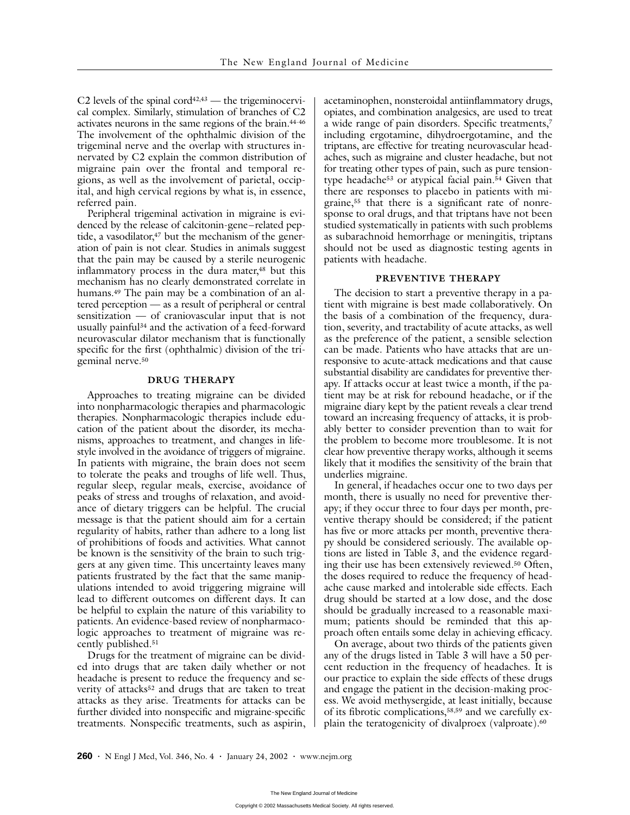C2 levels of the spinal cord $42,43$  — the trigeminocervical complex. Similarly, stimulation of branches of C2 activates neurons in the same regions of the brain.44-46 The involvement of the ophthalmic division of the trigeminal nerve and the overlap with structures innervated by C2 explain the common distribution of migraine pain over the frontal and temporal regions, as well as the involvement of parietal, occipital, and high cervical regions by what is, in essence, referred pain.

Peripheral trigeminal activation in migraine is evidenced by the release of calcitonin-gene–related peptide, a vasodilator, $47$  but the mechanism of the generation of pain is not clear. Studies in animals suggest that the pain may be caused by a sterile neurogenic inflammatory process in the dura mater,<sup>48</sup> but this mechanism has no clearly demonstrated correlate in humans.49 The pain may be a combination of an altered perception — as a result of peripheral or central sensitization — of craniovascular input that is not usually painful34 and the activation of a feed-forward neurovascular dilator mechanism that is functionally specific for the first (ophthalmic) division of the trigeminal nerve.50

# **DRUG THERAPY**

Approaches to treating migraine can be divided into nonpharmacologic therapies and pharmacologic therapies. Nonpharmacologic therapies include education of the patient about the disorder, its mechanisms, approaches to treatment, and changes in lifestyle involved in the avoidance of triggers of migraine. In patients with migraine, the brain does not seem to tolerate the peaks and troughs of life well. Thus, regular sleep, regular meals, exercise, avoidance of peaks of stress and troughs of relaxation, and avoidance of dietary triggers can be helpful. The crucial message is that the patient should aim for a certain regularity of habits, rather than adhere to a long list of prohibitions of foods and activities. What cannot be known is the sensitivity of the brain to such triggers at any given time. This uncertainty leaves many patients frustrated by the fact that the same manipulations intended to avoid triggering migraine will lead to different outcomes on different days. It can be helpful to explain the nature of this variability to patients. An evidence-based review of nonpharmacologic approaches to treatment of migraine was recently published.51

Drugs for the treatment of migraine can be divided into drugs that are taken daily whether or not headache is present to reduce the frequency and severity of attacks52 and drugs that are taken to treat attacks as they arise. Treatments for attacks can be further divided into nonspecific and migraine-specific treatments. Nonspecific treatments, such as aspirin, acetaminophen, nonsteroidal antiinflammatory drugs, opiates, and combination analgesics, are used to treat a wide range of pain disorders. Specific treatments,7 including ergotamine, dihydroergotamine, and the triptans, are effective for treating neurovascular headaches, such as migraine and cluster headache, but not for treating other types of pain, such as pure tensiontype headache<sup>53</sup> or atypical facial pain. $54$  Given that there are responses to placebo in patients with migraine,55 that there is a significant rate of nonresponse to oral drugs, and that triptans have not been studied systematically in patients with such problems as subarachnoid hemorrhage or meningitis, triptans should not be used as diagnostic testing agents in patients with headache.

## **PREVENTIVE THERAPY**

The decision to start a preventive therapy in a patient with migraine is best made collaboratively. On the basis of a combination of the frequency, duration, severity, and tractability of acute attacks, as well as the preference of the patient, a sensible selection can be made. Patients who have attacks that are unresponsive to acute-attack medications and that cause substantial disability are candidates for preventive therapy. If attacks occur at least twice a month, if the patient may be at risk for rebound headache, or if the migraine diary kept by the patient reveals a clear trend toward an increasing frequency of attacks, it is probably better to consider prevention than to wait for the problem to become more troublesome. It is not clear how preventive therapy works, although it seems likely that it modifies the sensitivity of the brain that underlies migraine.

In general, if headaches occur one to two days per month, there is usually no need for preventive therapy; if they occur three to four days per month, preventive therapy should be considered; if the patient has five or more attacks per month, preventive therapy should be considered seriously. The available options are listed in Table 3, and the evidence regarding their use has been extensively reviewed.50 Often, the doses required to reduce the frequency of headache cause marked and intolerable side effects. Each drug should be started at a low dose, and the dose should be gradually increased to a reasonable maximum; patients should be reminded that this approach often entails some delay in achieving efficacy.

On average, about two thirds of the patients given any of the drugs listed in Table 3 will have a 50 percent reduction in the frequency of headaches. It is our practice to explain the side effects of these drugs and engage the patient in the decision-making process. We avoid methysergide, at least initially, because of its fibrotic complications,58,59 and we carefully explain the teratogenicity of divalproex (valproate).60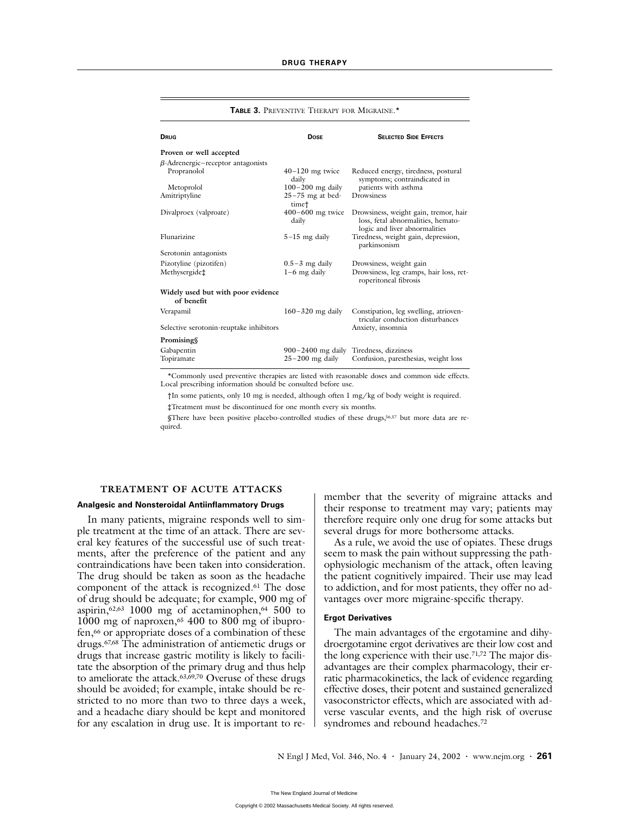| <b>DRUG</b>                                      | <b>DOSE</b>                            | <b>SELECTED SIDE EFFECTS</b>                                                                                 |
|--------------------------------------------------|----------------------------------------|--------------------------------------------------------------------------------------------------------------|
| Proven or well accepted                          |                                        |                                                                                                              |
| $\beta$ -Adrenergic-receptor antagonists         |                                        |                                                                                                              |
| Propranolol                                      | $40-120$ mg twice<br>daily             | Reduced energy, tiredness, postural<br>symptoms; contraindicated in                                          |
| Metoprolol                                       | $100-200$ mg daily                     | patients with asthma                                                                                         |
| Amitriptyline                                    | $25-75$ mg at bed-<br>time†            | Drowsiness                                                                                                   |
| Divalproex (valproate)                           | $400-600$ mg twice<br>daily            | Drowsiness, weight gain, tremor, hair<br>loss, fetal abnormalities, hemato-<br>logic and liver abnormalities |
| Flunarizine                                      | $5-15$ mg daily                        | Tiredness, weight gain, depression,<br>parkinsonism                                                          |
| Serotonin antagonists                            |                                        |                                                                                                              |
| Pizotyline (pizotifen)                           | $0.5-3$ mg daily                       | Drowsiness, weight gain                                                                                      |
| Methysergide <sup>+</sup>                        | $1-6$ mg daily                         | Drowsiness, leg cramps, hair loss, ret-<br>roperitoneal fibrosis                                             |
| Widely used but with poor evidence<br>of benefit |                                        |                                                                                                              |
| Verapamil                                        | $160 - 320$ mg daily                   | Constipation, leg swelling, atrioven-<br>tricular conduction disturbances                                    |
| Selective serotonin-reuptake inhibitors          |                                        | Anxiety, insomnia                                                                                            |
| Promising                                        |                                        |                                                                                                              |
| Gabapentin                                       | 900–2400 mg daily Tiredness, dizziness |                                                                                                              |
| Topiramate                                       | $25 - 200$ mg daily                    | Confusion, paresthesias, weight loss                                                                         |

TABLE **3.** PREVENTIVE THERAPY FOR MICRAINE.\*

\*Commonly used preventive therapies are listed with reasonable doses and common side effects. Local prescribing information should be consulted before use.

†In some patients, only 10 mg is needed, although often 1 mg/kg of body weight is required. ‡Treatment must be discontinued for one month every six months.

§There have been positive placebo-controlled studies of these drugs,<sup>56,57</sup> but more data are required.

## **TREATMENT OF ACUTE ATTACKS**

#### **Analgesic and Nonsteroidal Antiinflammatory Drugs**

In many patients, migraine responds well to simple treatment at the time of an attack. There are several key features of the successful use of such treatments, after the preference of the patient and any contraindications have been taken into consideration. The drug should be taken as soon as the headache component of the attack is recognized.61 The dose of drug should be adequate; for example, 900 mg of aspirin, $62,63$  1000 mg of acetaminophen, $64$  500 to  $1000$  mg of naproxen,<sup>65</sup> 400 to 800 mg of ibuprofen,66 or appropriate doses of a combination of these drugs.67,68 The administration of antiemetic drugs or drugs that increase gastric motility is likely to facilitate the absorption of the primary drug and thus help to ameliorate the attack.63,69,70 Overuse of these drugs should be avoided; for example, intake should be restricted to no more than two to three days a week, and a headache diary should be kept and monitored for any escalation in drug use. It is important to remember that the severity of migraine attacks and their response to treatment may vary; patients may therefore require only one drug for some attacks but several drugs for more bothersome attacks.

As a rule, we avoid the use of opiates. These drugs seem to mask the pain without suppressing the pathophysiologic mechanism of the attack, often leaving the patient cognitively impaired. Their use may lead to addiction, and for most patients, they offer no advantages over more migraine-specific therapy.

#### **Ergot Derivatives**

The main advantages of the ergotamine and dihydroergotamine ergot derivatives are their low cost and the long experience with their use.71,72 The major disadvantages are their complex pharmacology, their erratic pharmacokinetics, the lack of evidence regarding effective doses, their potent and sustained generalized vasoconstrictor effects, which are associated with adverse vascular events, and the high risk of overuse syndromes and rebound headaches.72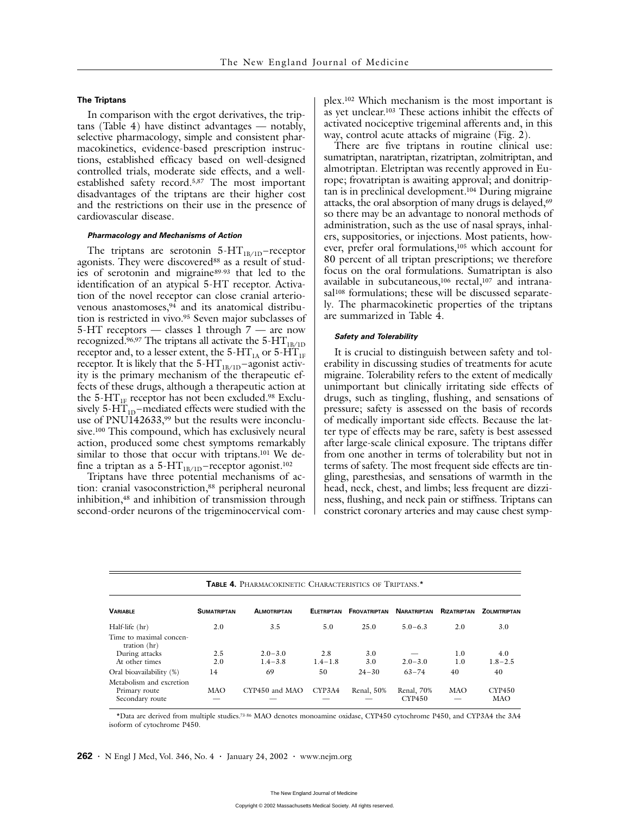# **The Triptans**

In comparison with the ergot derivatives, the triptans (Table 4) have distinct advantages — notably, selective pharmacology, simple and consistent pharmacokinetics, evidence-based prescription instructions, established efficacy based on well-designed controlled trials, moderate side effects, and a wellestablished safety record.5,87 The most important disadvantages of the triptans are their higher cost and the restrictions on their use in the presence of cardiovascular disease.

### *Pharmacology and Mechanisms of Action*

The triptans are serotonin  $5-HT_{1B/1D}$ –receptor agonists. They were discovered<sup>88</sup> as a result of studies of serotonin and migraine89-93 that led to the identification of an atypical 5-HT receptor. Activation of the novel receptor can close cranial arteriovenous anastomoses,94 and its anatomical distribution is restricted in vivo.95 Seven major subclasses of 5-HT receptors — classes 1 through 7 — are now recognized.<sup>96,97</sup> The triptans all activate the  $5-HT_{1B/1D}$ receptor and, to a lesser extent, the  $5-HT_{1A}$  or  $5-HT_{1F}$ receptor. It is likely that the  $5-HT_{1B/1D}$ –agonist activity is the primary mechanism of the therapeutic effects of these drugs, although a therapeutic action at the  $5-HT_{1F}$  receptor has not been excluded.<sup>98</sup> Exclusively 5-HT<sub>1D</sub>–mediated effects were studied with the use of PNU142633,<sup>99</sup> but the results were inconclusive.100 This compound, which has exclusively neural action, produced some chest symptoms remarkably similar to those that occur with triptans.<sup>101</sup> We define a triptan as a  $5-HT_{1B/1D}$ –receptor agonist.<sup>102</sup>

Triptans have three potential mechanisms of action: cranial vasoconstriction,<sup>88</sup> peripheral neuronal inhibition,<sup>48</sup> and inhibition of transmission through second-order neurons of the trigeminocervical complex.102 Which mechanism is the most important is as yet unclear.103 These actions inhibit the effects of activated nociceptive trigeminal afferents and, in this way, control acute attacks of migraine (Fig. 2).

There are five triptans in routine clinical use: sumatriptan, naratriptan, rizatriptan, zolmitriptan, and almotriptan. Eletriptan was recently approved in Europe; frovatriptan is awaiting approval; and donitriptan is in preclinical development.104 During migraine attacks, the oral absorption of many drugs is delayed,<sup>69</sup> so there may be an advantage to nonoral methods of administration, such as the use of nasal sprays, inhalers, suppositories, or injections. Most patients, however, prefer oral formulations,<sup>105</sup> which account for 80 percent of all triptan prescriptions; we therefore focus on the oral formulations. Sumatriptan is also available in subcutaneous,<sup>106</sup> rectal,<sup>107</sup> and intranasal<sup>108</sup> formulations; these will be discussed separately. The pharmacokinetic properties of the triptans are summarized in Table 4.

#### *Safety and Tolerability*

It is crucial to distinguish between safety and tolerability in discussing studies of treatments for acute migraine. Tolerability refers to the extent of medically unimportant but clinically irritating side effects of drugs, such as tingling, flushing, and sensations of pressure; safety is assessed on the basis of records of medically important side effects. Because the latter type of effects may be rare, safety is best assessed after large-scale clinical exposure. The triptans differ from one another in terms of tolerability but not in terms of safety. The most frequent side effects are tingling, paresthesias, and sensations of warmth in the head, neck, chest, and limbs; less frequent are dizziness, flushing, and neck pain or stiffness. Triptans can constrict coronary arteries and may cause chest symp-

| <b>TABLE 4. PHARMACOKINETIC CHARACTERISTICS OF TRIPTANS.</b> * |                    |                    |                   |                     |                             |             |                      |
|----------------------------------------------------------------|--------------------|--------------------|-------------------|---------------------|-----------------------------|-------------|----------------------|
| <b><i>VARIABLE</i></b>                                         | <b>SUMATRIPTAN</b> | <b>ALMOTRIPTAN</b> | <b>ELETRIPTAN</b> | <b>FROVATRIPTAN</b> | <b>NARATRIPTAN</b>          | RIZATRIPTAN | <b>ZOLMITRIPTAN</b>  |
| Half-life (hr)                                                 | 2.0                | 3.5                | 5.0               | 25.0                | $5.0 - 6.3$                 | 2.0         | 3.0                  |
| Time to maximal concen-<br>tration (hr)                        |                    |                    |                   |                     |                             |             |                      |
| During attacks                                                 | 2.5                | $2.0 - 3.0$        | 2.8               | 3.0                 |                             | 1.0         | 4.0                  |
| At other times                                                 | 2.0                | $1.4 - 3.8$        | $1.4 - 1.8$       | 3.0                 | $2.0 - 3.0$                 | 1.0         | $1.8 - 2.5$          |
| Oral bioavailability (%)                                       | 14                 | 69                 | 50                | $24 - 30$           | $63 - 74$                   | 40          | 40                   |
| Metabolism and excretion<br>Primary route<br>Secondary route   | <b>MAO</b>         | CYP450 and MAO     | CYP3A4            | Renal, 50%          | Renal, 70%<br><b>CYP450</b> | <b>MAO</b>  | CYP450<br><b>MAO</b> |

\*Data are derived from multiple studies.73-86 MAO denotes monoamine oxidase, CYP450 cytochrome P450, and CYP3A4 the 3A4 isoform of cytochrome P450.

**262 ·** N Engl J Med, Vol. 346, No. 4 **·** January 24, 2002 **·** www.nejm.org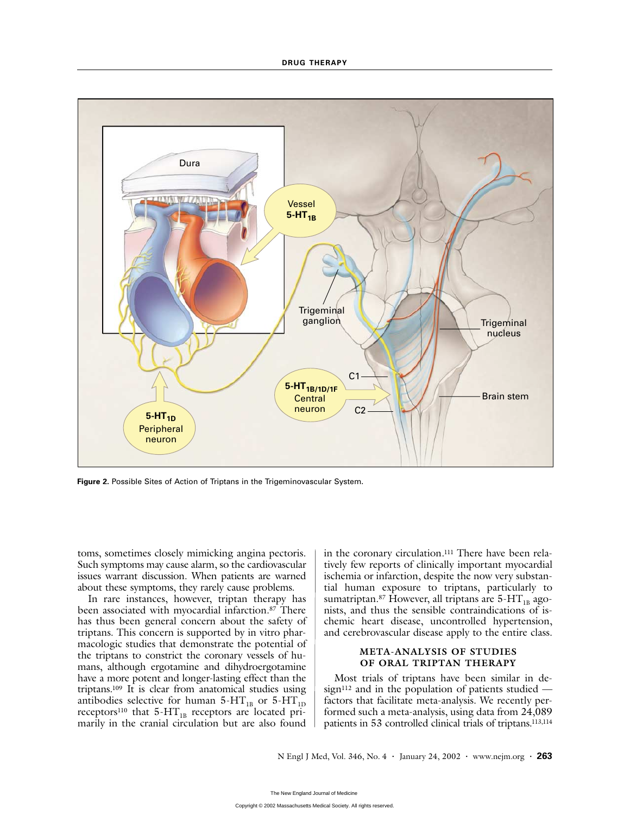

**Figure 2.** Possible Sites of Action of Triptans in the Trigeminovascular System.

toms, sometimes closely mimicking angina pectoris. Such symptoms may cause alarm, so the cardiovascular issues warrant discussion. When patients are warned about these symptoms, they rarely cause problems.

In rare instances, however, triptan therapy has been associated with myocardial infarction.<sup>87</sup> There has thus been general concern about the safety of triptans. This concern is supported by in vitro pharmacologic studies that demonstrate the potential of the triptans to constrict the coronary vessels of humans, although ergotamine and dihydroergotamine have a more potent and longer-lasting effect than the triptans.109 It is clear from anatomical studies using antibodies selective for human  $5-HT_{1B}$  or  $5-HT_{1D}$ receptors<sup>110</sup> that  $5-HT_{1B}$  receptors are located primarily in the cranial circulation but are also found

in the coronary circulation.111 There have been relatively few reports of clinically important myocardial ischemia or infarction, despite the now very substantial human exposure to triptans, particularly to sumatriptan.<sup>87</sup> However, all triptans are  $5-HT_{1B}$  agonists, and thus the sensible contraindications of ischemic heart disease, uncontrolled hypertension, and cerebrovascular disease apply to the entire class.

# **META-ANALYSIS OF STUDIES OF ORAL TRIPTAN THERAPY**

Most trials of triptans have been similar in design<sup>112</sup> and in the population of patients studied  $$ factors that facilitate meta-analysis. We recently performed such a meta-analysis, using data from 24,089 patients in 53 controlled clinical trials of triptans.113,114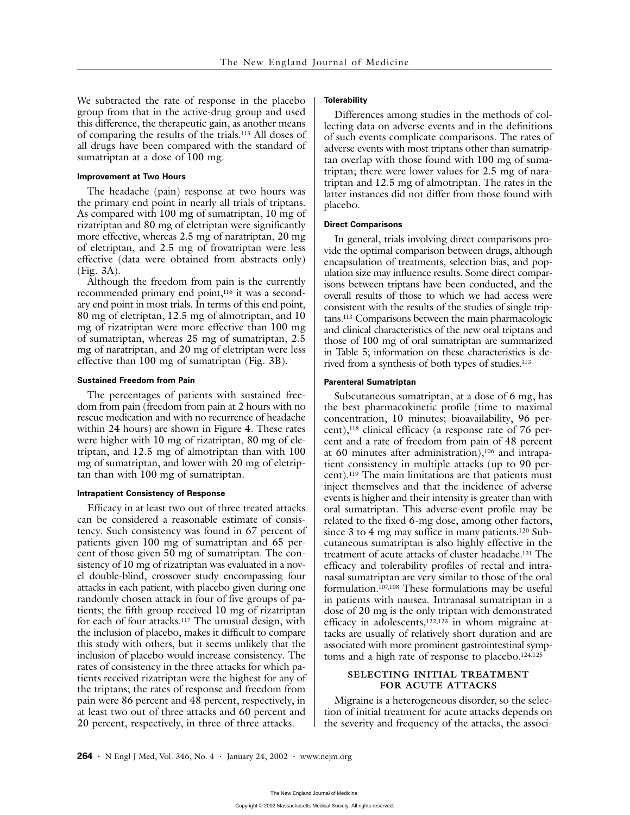We subtracted the rate of response in the placebo group from that in the active-drug group and used this difference, the therapeutic gain, as another means of comparing the results of the trials.115 All doses of all drugs have been compared with the standard of sumatriptan at a dose of 100 mg.

### **Improvement at Two Hours**

The headache (pain) response at two hours was the primary end point in nearly all trials of triptans. As compared with 100 mg of sumatriptan, 10 mg of rizatriptan and 80 mg of eletriptan were significantly more effective, whereas 2.5 mg of naratriptan, 20 mg of eletriptan, and 2.5 mg of frovatriptan were less effective (data were obtained from abstracts only) (Fig. 3A).

Although the freedom from pain is the currently recommended primary end point,<sup>116</sup> it was a secondary end point in most trials. In terms of this end point, 80 mg of eletriptan, 12.5 mg of almotriptan, and 10 mg of rizatriptan were more effective than 100 mg of sumatriptan, whereas 25 mg of sumatriptan, 2.5 mg of naratriptan, and 20 mg of eletriptan were less effective than 100 mg of sumatriptan (Fig. 3B).

#### **Sustained Freedom from Pain**

The percentages of patients with sustained freedom from pain (freedom from pain at 2 hours with no rescue medication and with no recurrence of headache within 24 hours) are shown in Figure 4. These rates were higher with 10 mg of rizatriptan, 80 mg of eletriptan, and 12.5 mg of almotriptan than with 100 mg of sumatriptan, and lower with 20 mg of eletriptan than with 100 mg of sumatriptan.

#### **Intrapatient Consistency of Response**

Efficacy in at least two out of three treated attacks can be considered a reasonable estimate of consistency. Such consistency was found in 67 percent of patients given 100 mg of sumatriptan and 65 percent of those given 50 mg of sumatriptan. The consistency of 10 mg of rizatriptan was evaluated in a novel double-blind, crossover study encompassing four attacks in each patient, with placebo given during one randomly chosen attack in four of five groups of patients; the fifth group received 10 mg of rizatriptan for each of four attacks.117 The unusual design, with the inclusion of placebo, makes it difficult to compare this study with others, but it seems unlikely that the inclusion of placebo would increase consistency. The rates of consistency in the three attacks for which patients received rizatriptan were the highest for any of the triptans; the rates of response and freedom from pain were 86 percent and 48 percent, respectively, in at least two out of three attacks and 60 percent and 20 percent, respectively, in three of three attacks.

## **Tolerability**

Differences among studies in the methods of collecting data on adverse events and in the definitions of such events complicate comparisons. The rates of adverse events with most triptans other than sumatriptan overlap with those found with 100 mg of sumatriptan; there were lower values for 2.5 mg of naratriptan and 12.5 mg of almotriptan. The rates in the latter instances did not differ from those found with placebo.

## **Direct Comparisons**

In general, trials involving direct comparisons provide the optimal comparison between drugs, although encapsulation of treatments, selection bias, and population size may influence results. Some direct comparisons between triptans have been conducted, and the overall results of those to which we had access were consistent with the results of the studies of single triptans.113 Comparisons between the main pharmacologic and clinical characteristics of the new oral triptans and those of 100 mg of oral sumatriptan are summarized in Table 5; information on these characteristics is derived from a synthesis of both types of studies.<sup>113</sup>

#### **Parenteral Sumatriptan**

Subcutaneous sumatriptan, at a dose of 6 mg, has the best pharmacokinetic profile (time to maximal concentration, 10 minutes; bioavailability, 96 percent),118 clinical efficacy (a response rate of 76 percent and a rate of freedom from pain of 48 percent at 60 minutes after administration), $106$  and intrapatient consistency in multiple attacks (up to 90 percent).119 The main limitations are that patients must inject themselves and that the incidence of adverse events is higher and their intensity is greater than with oral sumatriptan. This adverse-event profile may be related to the fixed 6-mg dose, among other factors, since 3 to 4 mg may suffice in many patients.<sup>120</sup> Subcutaneous sumatriptan is also highly effective in the treatment of acute attacks of cluster headache.121 The efficacy and tolerability profiles of rectal and intranasal sumatriptan are very similar to those of the oral formulation.107,108 These formulations may be useful in patients with nausea. Intranasal sumatriptan in a dose of 20 mg is the only triptan with demonstrated efficacy in adolescents,<sup>122,123</sup> in whom migraine attacks are usually of relatively short duration and are associated with more prominent gastrointestinal symptoms and a high rate of response to placebo.124,125

# **SELECTING INITIAL TREATMENT FOR ACUTE ATTACKS**

Migraine is a heterogeneous disorder, so the selection of initial treatment for acute attacks depends on the severity and frequency of the attacks, the associ-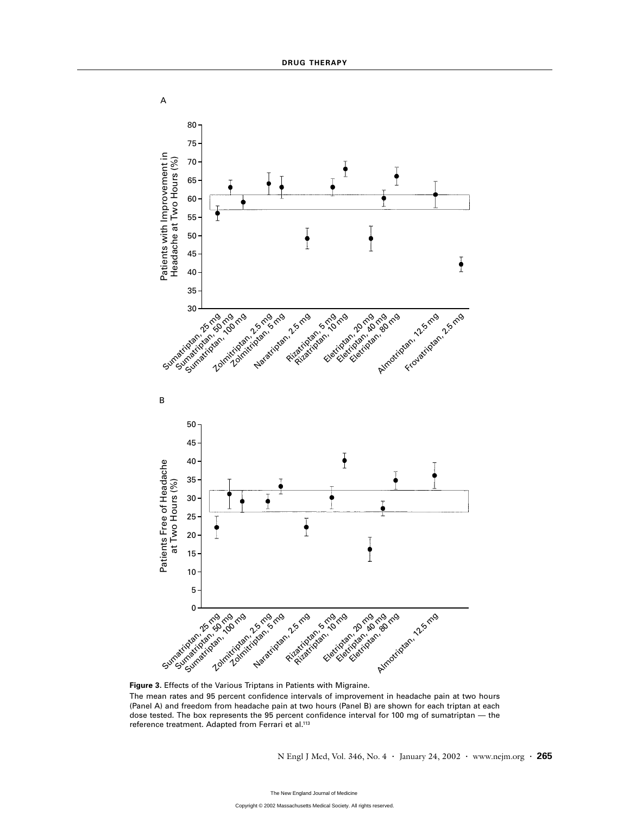

The mean rates and 95 percent confidence intervals of improvement in headache pain at two hours (Panel A) and freedom from headache pain at two hours (Panel B) are shown for each triptan at each dose tested. The box represents the 95 percent confidence interval for 100 mg of sumatriptan — the reference treatment. Adapted from Ferrari et al.113

N Engl J Med, Vol. 346, No. 4 **·** January 24, 2002 **·** www.nejm.org **· 265**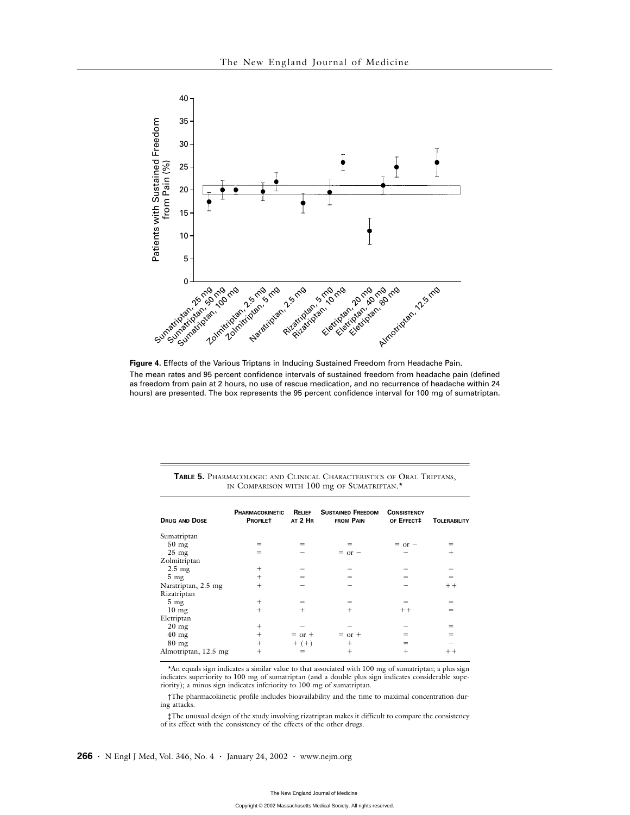

**Figure 4.** Effects of the Various Triptans in Inducing Sustained Freedom from Headache Pain. The mean rates and 95 percent confidence intervals of sustained freedom from headache pain (defined as freedom from pain at 2 hours, no use of rescue medication, and no recurrence of headache within 24 hours) are presented. The box represents the 95 percent confidence interval for 100 mg of sumatriptan.

| TABLE 5. PHARMACOLOGIC AND CLINICAL CHARACTERISTICS OF ORAL TRIPTANS, |                                            |  |
|-----------------------------------------------------------------------|--------------------------------------------|--|
|                                                                       | IN COMPARISON WITH 100 mg OF SUMATRIPTAN.* |  |

| <b>DRUG AND DOSE</b> | <b>PHARMACOKINETIC</b><br><b>PROFILET</b> | <b>RELIEF</b><br>AT 2 HR | <b>SUSTAINED FREEDOM</b><br><b>FROM PAIN</b> | <b>CONSISTENCY</b><br>OF EFFECT# | <b>TOLERABILITY</b> |
|----------------------|-------------------------------------------|--------------------------|----------------------------------------------|----------------------------------|---------------------|
| Sumatriptan          |                                           |                          |                                              |                                  |                     |
| $50$ mg              | =                                         | $=$                      |                                              | $=$ or $-$                       |                     |
| $25$ mg              | $=$                                       |                          | $=$ or $-$                                   |                                  | $^{+}$              |
| Zolmitriptan         |                                           |                          |                                              |                                  |                     |
| $2.5$ mg             | $^{+}$                                    | $=$                      | $=$                                          | $=$                              | $=$                 |
| $5 \text{ mg}$       | $^{+}$                                    | $=$                      | $=$                                          | $=$                              | $=$                 |
| Naratriptan, 2.5 mg  | $^{+}$                                    |                          |                                              |                                  | $++$                |
| Rizatriptan          |                                           |                          |                                              |                                  |                     |
| $5 \text{ mg}$       | $^{+}$                                    | $=$                      |                                              | $=$                              | $=$                 |
| 10 <sub>mg</sub>     | $^{+}$                                    | $^{+}$                   | $^{+}$                                       | $++$                             |                     |
| Eletriptan           |                                           |                          |                                              |                                  |                     |
| $20$ mg              | $\hskip 0.025cm +\hskip 0.025cm$          |                          |                                              |                                  | $=$                 |
| $40$ mg              | $^{+}$                                    | $=$ or $+$               | $=$ or $+$                                   | $=$                              | $=$                 |
| 80 mg                | $\pm$                                     | $+ (+)$                  | $^{+}$                                       | $=$                              |                     |
| Almotriptan, 12.5 mg | $^{+}$                                    | $=$                      | $\pm$                                        | $\pm$                            | $^{++}$             |

\*An equals sign indicates a similar value to that associated with 100 mg of sumatriptan; a plus sign indicates superiority to 100 mg of sumatriptan (and a double plus sign indicates considerable superiority); a minus sign indicates inferiority to 100 mg of sumatriptan.

†The pharmacokinetic profile includes bioavailability and the time to maximal concentration during attacks.

‡The unusual design of the study involving rizatriptan makes it difficult to compare the consistency of its effect with the consistency of the effects of the other drugs.

**266 ·** N Engl J Med, Vol. 346, No. 4 **·** January 24, 2002 **·** www.nejm.org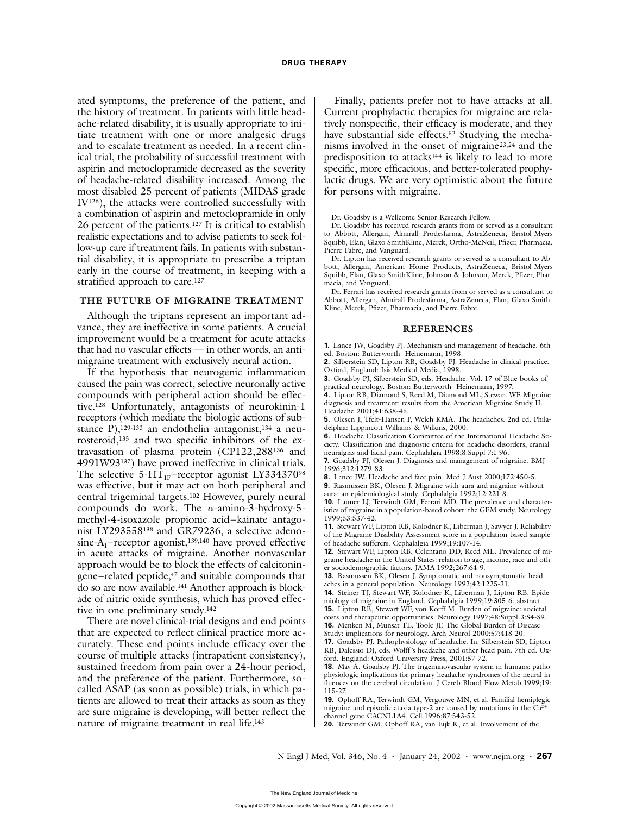ated symptoms, the preference of the patient, and the history of treatment. In patients with little headache-related disability, it is usually appropriate to initiate treatment with one or more analgesic drugs and to escalate treatment as needed. In a recent clinical trial, the probability of successful treatment with aspirin and metoclopramide decreased as the severity of headache-related disability increased. Among the most disabled 25 percent of patients (MIDAS grade IV126), the attacks were controlled successfully with a combination of aspirin and metoclopramide in only 26 percent of the patients.127 It is critical to establish realistic expectations and to advise patients to seek follow-up care if treatment fails. In patients with substantial disability, it is appropriate to prescribe a triptan early in the course of treatment, in keeping with a stratified approach to care.<sup>127</sup>

## **THE FUTURE OF MIGRAINE TREATMENT**

Although the triptans represent an important advance, they are ineffective in some patients. A crucial improvement would be a treatment for acute attacks that had no vascular effects — in other words, an antimigraine treatment with exclusively neural action.

If the hypothesis that neurogenic inflammation caused the pain was correct, selective neuronally active compounds with peripheral action should be effective.128 Unfortunately, antagonists of neurokinin-1 receptors (which mediate the biologic actions of substance P),<sup>129-133</sup> an endothelin antagonist,<sup>134</sup> a neurosteroid,135 and two specific inhibitors of the extravasation of plasma protein (CP122,288136 and 4991W93137) have proved ineffective in clinical trials. The selective  $5-HT_{1F}$ –receptor agonist LY334370<sup>98</sup> was effective, but it may act on both peripheral and central trigeminal targets.102 However, purely neural compounds do work. The *a*-amino-3-hydroxy-5 methyl-4-isoxazole propionic acid–kainate antagonist LY293558138 and GR79236, a selective adenosine- $A_1$ –receptor agonist,<sup>139,140</sup> have proved effective in acute attacks of migraine. Another nonvascular approach would be to block the effects of calcitoningene–related peptide,<sup>47</sup> and suitable compounds that do so are now available.141 Another approach is blockade of nitric oxide synthesis, which has proved effective in one preliminary study.142

There are novel clinical-trial designs and end points that are expected to reflect clinical practice more accurately. These end points include efficacy over the course of multiple attacks (intrapatient consistency), sustained freedom from pain over a 24-hour period, and the preference of the patient. Furthermore, socalled ASAP (as soon as possible) trials, in which patients are allowed to treat their attacks as soon as they are sure migraine is developing, will better reflect the nature of migraine treatment in real life.143

Finally, patients prefer not to have attacks at all. Current prophylactic therapies for migraine are relatively nonspecific, their efficacy is moderate, and they have substantial side effects.<sup>52</sup> Studying the mechanisms involved in the onset of migraine23,24 and the predisposition to attacks<sup>144</sup> is likely to lead to more specific, more efficacious, and better-tolerated prophylactic drugs. We are very optimistic about the future for persons with migraine.

Dr. Goadsby is a Wellcome Senior Research Fellow.

Dr. Goadsby has received research grants from or served as a consultant to Abbott, Allergan, Almirall Prodesfarma, AstraZeneca, Bristol-Myers Squibb, Elan, Glaxo SmithKline, Merck, Ortho-McNeil, Pfizer, Pharmacia, Pierre Fabre, and Vanguard.

Dr. Lipton has received research grants or served as a consultant to Abbott, Allergan, American Home Products, AstraZeneca, Bristol-Myers Squibb, Elan, Glaxo SmithKline, Johnson & Johnson, Merck, Pfizer, Pharmacia, and Vanguard.

Dr. Ferrari has received research grants from or served as a consultant to Abbott, Allergan, Almirall Prodesfarma, AstraZeneca, Elan, Glaxo Smith-Kline, Merck, Pfizer, Pharmacia, and Pierre Fabre.

#### **REFERENCES**

**1.** Lance JW, Goadsby PJ. Mechanism and management of headache. 6th ed. Boston: Butterworth–Heinemann, 1998.

**2.** Silberstein SD, Lipton RB, Goadsby PJ. Headache in clinical practice. Oxford, England: Isis Medical Media, 1998.

**3.** Goadsby PJ, Silberstein SD, eds. Headache. Vol. 17 of Blue books of practical neurology. Boston: Butterworth–Heinemann, 1997.

**4.** Lipton RB, Diamond S, Reed M, Diamond ML, Stewart WF. Migraine diagnosis and treatment: results from the American Migraine Study II. Headache 2001;41:638-45.

**5.** Olesen J, Tfelt-Hansen P, Welch KMA. The headaches. 2nd ed. Philadelphia: Lippincott Williams & Wilkins, 2000.

**6.** Headache Classification Committee of the International Headache Society. Classification and diagnostic criteria for headache disorders, cranial neuralgias and facial pain. Cephalalgia 1998;8:Suppl 7:1-96.

**7.** Goadsby PJ, Olesen J. Diagnosis and management of migraine. BMJ 1996;312:1279-83.

**8.** Lance JW. Headache and face pain. Med J Aust 2000;172:450-5. **9.** Rasmussen BK, Olesen J. Migraine with aura and migraine without

aura: an epidemiological study. Cephalalgia 1992;12:221-8.

**10.** Launer LJ, Terwindt GM, Ferrari MD. The prevalence and characteristics of migraine in a population-based cohort: the GEM study. Neurology 1999;53:537-42.

**11.** Stewart WF, Lipton RB, Kolodner K, Liberman J, Sawyer J. Reliability of the Migraine Disability Assessment score in a population-based sample of headache sufferers. Cephalalgia 1999;19:107-14.

**12.** Stewart WF, Lipton RB, Celentano DD, Reed ML. Prevalence of migraine headache in the United States: relation to age, income, race and other sociodemographic factors. JAMA 1992;267:64-9.

**13.** Rasmussen BK, Olesen J. Symptomatic and nonsymptomatic headaches in a general population. Neurology 1992;42:1225-31.

**14.** Steiner TJ, Stewart WF, Kolodner K, Liberman J, Lipton RB. Epide-

miology of migraine in England. Cephalalgia 1999;19:305-6. abstract. **15.** Lipton RB, Stewart WF, von Korff M. Burden of migraine: societal

costs and therapeutic opportunities. Neurology 1997;48:Suppl 3:S4-S9. **16.** Menken M, Munsat TL, Toole JF. The Global Burden of Disease Study: implications for neurology. Arch Neurol 2000;57:418-20.

**17.** Goadsby PJ. Pathophysiology of headache. In: Silberstein SD, Lipton RB, Dalessio DJ, eds. Wolff 's headache and other head pain. 7th ed. Oxford, England: Oxford University Press, 2001:57-72.

**18.** May A, Goadsby PJ. The trigeminovascular system in humans: pathophysiologic implications for primary headache syndromes of the neural influences on the cerebral circulation. J Cereb Blood Flow Metab 1999;19: 115-27.

**19.** Ophoff RA, Terwindt GM, Vergouwe MN, et al. Familial hemiplegic migraine and episodic ataxia type-2 are caused by mutations in the Ca2+ channel gene CACNL1A4. Cell 1996;87:543-52.

**20.** Terwindt GM, Ophoff RA, van Eijk R, et al. Involvement of the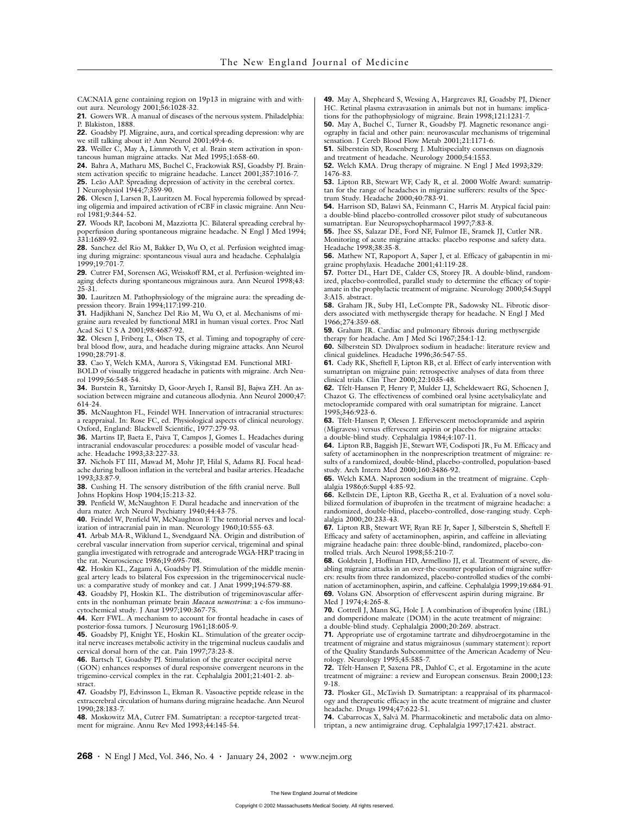CACNA1A gene containing region on 19p13 in migraine with and without aura. Neurology 2001;56:1028-32.

**21.** Gowers WR. A manual of diseases of the nervous system. Philadelphia: P. Blakiston, 1888.

**22.** Goadsby PJ. Migraine, aura, and cortical spreading depression: why are we still talking about it? Ann Neurol 2001;49:4-6.

**23.** Weiller C, May A, Limmroth V, et al. Brain stem activation in spontaneous human migraine attacks. Nat Med 1995;1:658-60.

**24.** Bahra A, Matharu MS, Buchel C, Frackowiak RSJ, Goadsby PJ. Brainstem activation specific to migraine headache. Lancet 2001;357:1016-7. **25.** Leão AAP. Spreading depression of activity in the cerebral cortex.

J Neurophysiol 1944;7:359-90.

**26.** Olesen J, Larsen B, Lauritzen M. Focal hyperemia followed by spreading oligemia and impaired activation of rCBF in classic migraine. Ann Neurol 1981;9:344-52.

**27.** Woods RP, Iacoboni M, Mazziotta JC. Bilateral spreading cerebral hypoperfusion during spontaneous migraine headache. N Engl J Med 1994; 331:1689-92.

**28.** Sanchez del Rio M, Bakker D, Wu O, et al. Perfusion weighted imaging during migraine: spontaneous visual aura and headache. Cephalalgia 1999;19:701-7.

**29.** Cutrer FM, Sorensen AG, Weisskoff RM, et al. Perfusion-weighted imaging defects during spontaneous migrainous aura. Ann Neurol 1998;43: 25-31.

**30.** Lauritzen M. Pathophysiology of the migraine aura: the spreading depression theory. Brain 1994;117:199-210.

**31.** Hadjikhani N, Sanchez Del Rio M, Wu O, et al. Mechanisms of migraine aura revealed by functional MRI in human visual cortex. Proc Natl Acad Sci U S A 2001;98:4687-92.

**32.** Olesen J, Friberg L, Olsen TS, et al. Timing and topography of cerebral blood flow, aura, and headache during migraine attacks. Ann Neurol 1990;28:791-8.

**33.** Cao Y, Welch KMA, Aurora S, Vikingstad EM. Functional MRI-BOLD of visually triggered headache in patients with migraine. Arch Neurol 1999;56:548-54.

**34.** Burstein R, Yarnitsky D, Goor-Aryeh I, Ransil BJ, Bajwa ZH. An association between migraine and cutaneous allodynia. Ann Neurol 2000;47: 614-24.

**35.** McNaughton FL, Feindel WH. Innervation of intracranial structures: a reappraisal. In: Rose FC, ed. Physiological aspects of clinical neurology. Oxford, England: Blackwell Scientific, 1977:279-93.

**36.** Martins IP, Baeta E, Paiva T, Campos J, Gomes L. Headaches during intracranial endovascular procedures: a possible model of vascular headache. Headache 1993;33:227-33.

**37.** Nichols FT III, Mawad M, Mohr JP, Hilal S, Adams RJ. Focal headache during balloon inflation in the vertebral and basilar arteries. Headache 1993;33:87-9.

**38.** Cushing H. The sensory distribution of the fifth cranial nerve. Bull Johns Hopkins Hosp 1904;15:213-32.

**39.** Penfield W, McNaughton F. Dural headache and innervation of the dura mater. Arch Neurol Psychiatry 1940;44:43-75.

**40.** Feindel W, Penfield W, McNaughton F. The tentorial nerves and localization of intracranial pain in man. Neurology 1960;10:555-63.

**41.** Arbab MA-R, Wiklund L, Svendgaard NA. Origin and distribution of cerebral vascular innervation from superior cervical, trigeminal and spinal ganglia investigated with retrograde and anterograde WGA-HRP tracing in the rat. Neuroscience 1986;19:695-708.

**42.** Hoskin KL, Zagami A, Goadsby PJ. Stimulation of the middle meningeal artery leads to bilateral Fos expression in the trigeminocervical nucleus: a comparative study of monkey and cat. J Anat 1999;194:579-88.

**43.** Goadsby PJ, Hoskin KL. The distribution of trigeminovascular afferents in the nonhuman primate brain *Macaca nemestrina*: a c-fos immunocytochemical study. J Anat 1997;190:367-75.

**44.** Kerr FWL. A mechanism to account for frontal headache in cases of posterior-fossa tumors. J Neurosurg 1961;18:605-9.

**45.** Goadsby PJ, Knight YE, Hoskin KL. Stimulation of the greater occipital nerve increases metabolic activity in the trigeminal nucleus caudalis and cervical dorsal horn of the cat. Pain 1997;73:23-8.

**46.** Bartsch T, Goadsby PJ. Stimulation of the greater occipital nerve (GON) enhances responses of dural responsive convergent neurons in the trigemino-cervical complex in the rat. Cephalalgia 2001;21:401-2. abstract.

**47.** Goadsby PJ, Edvinsson L, Ekman R. Vasoactive peptide release in the extracerebral circulation of humans during migraine headache. Ann Neurol 1990;28:183-7.

**48.** Moskowitz MA, Cutrer FM. Sumatriptan: a receptor-targeted treatment for migraine. Annu Rev Med 1993;44:145-54.

**49.** May A, Shepheard S, Wessing A, Hargreaves RJ, Goadsby PJ, Diener HC. Retinal plasma extravasation in animals but not in humans: implications for the pathophysiology of migraine. Brain 1998;121:1231-7.

**50.** May A, Buchel C, Turner R, Goadsby PJ. Magnetic resonance angiography in facial and other pain: neurovascular mechanisms of trigeminal sensation. J Cereb Blood Flow Metab 2001;21:1171-6.

**51.** Silberstein SD, Rosenberg J. Multispecialty consensus on diagnosis and treatment of headache. Neurology 2000;54:1553.

**52.** Welch KMA. Drug therapy of migraine. N Engl J Med 1993;329: 1476-83.

**53.** Lipton RB, Stewart WF, Cady R, et al. 2000 Wolfe Award: sumatriptan for the range of headaches in migraine sufferers: results of the Spectrum Study. Headache 2000;40:783-91.

**54.** Harrison SD, Balawi SA, Feinmann C, Harris M. Atypical facial pain: a double-blind placebo-controlled crossover pilot study of subcutaneous sumatriptan. Eur Neuropsychopharmacol 1997;7:83-8.

**55.** Jhee SS, Salazar DE, Ford NF, Fulmor IE, Sramek JJ, Cutler NR. Monitoring of acute migraine attacks: placebo response and safety data. Headache 1998;38:35-8.

**56.** Mathew NT, Rapoport A, Saper J, et al. Efficacy of gabapentin in migraine prophylaxis. Headache 2001;41:119-28.

**57.** Potter DL, Hart DE, Calder CS, Storey JR. A double-blind, randomized, placebo-controlled, parallel study to determine the efficacy of topiramate in the prophylactic treatment of migraine. Neurology 2000;54:Suppl 3:A15. abstract.

**58.** Graham JR, Suby HI, LeCompte PR, Sadowsky NL. Fibrotic disorders associated with methysergide therapy for headache. N Engl J Med 1966;274:359-68.

**59.** Graham JR. Cardiac and pulmonary fibrosis during methysergide therapy for headache. Am J Med Sci 1967;254:1-12.

**60.** Silberstein SD. Divalproex sodium in headache: literature review and clinical guidelines. Headache 1996;36:547-55.

**61.** Cady RK, Sheftell F, Lipton RB, et al. Effect of early intervention with sumatriptan on migraine pain: retrospective analyses of data from three clinical trials. Clin Ther 2000;22:1035-48.

**62.** Tfelt-Hansen P, Henry P, Mulder LJ, Scheldewaert RG, Schoenen J, Chazot G. The effectiveness of combined oral lysine acetylsalicylate and metoclopramide compared with oral sumatriptan for migraine. Lancet 1995;346:923-6.

**63.** Tfelt-Hansen P, Olesen J. Effervescent metoclopramide and aspirin (Migravess) versus effervescent aspirin or placebo for migraine attacks: a double-blind study. Cephalalgia 1984;4:107-11.

**64.** Lipton RB, Baggish JE, Stewart WF, Codispoti JR, Fu M. Efficacy and safety of acetaminophen in the nonprescription treatment of migraine: results of a randomized, double-blind, placebo-controlled, population-based study. Arch Intern Med 2000;160:3486-92.

**65.** Welch KMA. Naproxen sodium in the treatment of migraine. Cephalalgia 1986;6:Suppl 4:85-92.

**66.** Kellstein DE, Lipton RB, Geetha R, et al. Evaluation of a novel solubilized formulation of ibuprofen in the treatment of migraine headache: a randomized, double-blind, placebo-controlled, dose-ranging study. Cephalalgia 2000;20:233-43.

**67.** Lipton RB, Stewart WF, Ryan RE Jr, Saper J, Silberstein S, Sheftell F. Efficacy and safety of acetaminophen, aspirin, and caffeine in alleviating migraine headache pain: three double-blind, randomized, placebo-controlled trials. Arch Neurol 1998;55:210-7.

**68.** Goldstein J, Hoffman HD, Armellino JJ, et al. Treatment of severe, disabling migraine attacks in an over-the-counter population of migraine sufferers: results from three randomized, placebo-controlled studies of the combination of acetaminophen, aspirin, and caffeine. Cephalalgia 1999;19:684-91. **69.** Volans GN. Absorption of effervescent aspirin during migraine. Br Med J 1974;4:265-8.

**70.** Cottrell J, Mann SG, Hole J. A combination of ibuprofen lysine (IBL) and domperidone maleate (DOM) in the acute treatment of migraine: a double-blind study. Cephalalgia 2000;20:269. abstract.

**71.** Appropriate use of ergotamine tartrate and dihydroergotamine in the treatment of migraine and status migrainosus (summary statement): report of the Quality Standards Subcommittee of the American Academy of Neurology. Neurology 1995;45:585-7.

**72.** Tfelt-Hansen P, Saxena PR, Dahlof C, et al. Ergotamine in the acute treatment of migraine: a review and European consensus. Brain 2000;123: 9-18.

**73.** Plosker GL, McTavish D. Sumatriptan: a reappraisal of its pharmacology and therapeutic efficacy in the acute treatment of migraine and cluster headache. Drugs 1994;47:622-51.

**74.** Cabarrocas X, Salvà M. Pharmacokinetic and metabolic data on almotriptan, a new antimigraine drug. Cephalalgia 1997;17:421. abstract.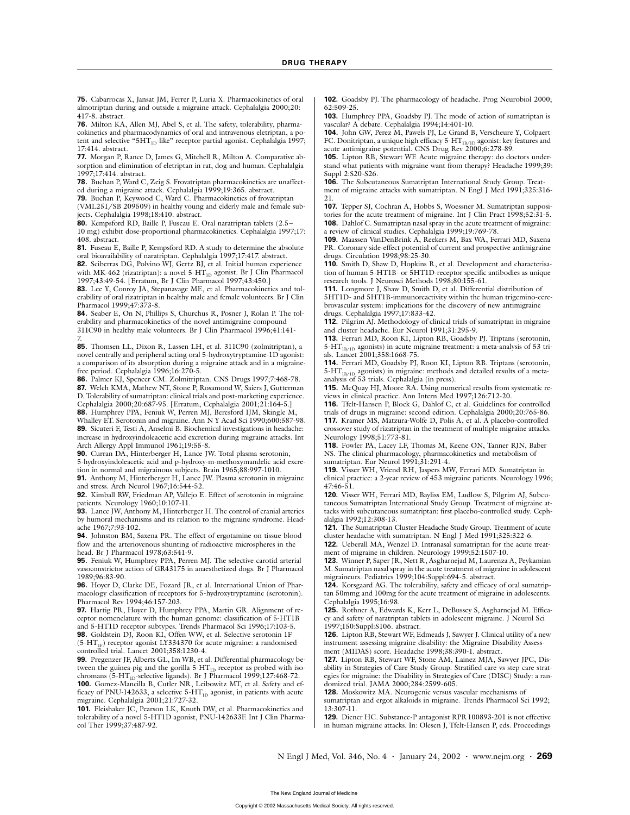**75.** Cabarrocas X, Jansat JM, Ferrer P, Luria X. Pharmacokinetics of oral almotriptan during and outside a migraine attack. Cephalalgia 2000;20: 417-8. abstract.

**76.** Milton KA, Allen MJ, Abel S, et al. The safety, tolerability, pharmacokinetics and pharmacodynamics of oral and intravenous eletriptan, a potent and selective "5HT<sub>1D</sub>-like" receptor partial agonist. Cephalalgia 1997; 17:414. abstract.

**77.** Morgan P, Rance D, James G, Mitchell R, Milton A. Comparative absorption and elimination of eletriptan in rat, dog and human. Cephalalgia 1997;17:414. abstract.

**78.** Buchan P, Ward C, Zeig S. Frovatriptan pharmacokinetics are unaffected during a migraine attack. Cephalalgia 1999;19:365. abstract.

**79.** Buchan P, Keywood C, Ward C. Pharmacokinetics of frovatriptan

(VML251/SB 209509) in healthy young and elderly male and female subjects. Cephalalgia 1998;18:410. abstract.

**80.** Kempsford RD, Baille P, Fuseau E. Oral naratriptan tablets (2.5– 10 mg) exhibit dose-proportional pharmacokinetics. Cephalalgia 1997;17: 408. abstract.

**81.** Fuseau E, Baille P, Kempsford RD. A study to determine the absolute oral bioavailability of naratriptan. Cephalalgia 1997;17:417. abstract.

**82.** Sciberras DG, Polvino WJ, Gertz BJ, et al. Initial human experience with MK-462 (rizatriptan): a novel  $5-HT_{1D}$  agonist. Br J Clin Pharmacol 1997;43:49-54. [Erratum, Br J Clin Pharmacol 1997;43:450.]

**83.** Lee Y, Conroy JA, Stepanavage ME, et al. Pharmacokinetics and tol-erability of oral rizatriptan in healthy male and female volunteers. Br J Clin Pharmacol 1999;47:373-8.

**84.** Seaber E, On N, Phillips S, Churchus R, Posner J, Rolan P. The tolerability and pharmacokinetics of the novel antimigraine compound 311C90 in healthy male volunteers. Br J Clin Pharmacol 1996;41:141- 7.

**85.** Thomsen LL, Dixon R, Lassen LH, et al. 311C90 (zolmitriptan), a novel centrally and peripheral acting oral 5-hydroxytryptamine-1D agonist: a comparison of its absorption during a migraine attack and in a migrainefree period. Cephalalgia 1996;16:270-5.

**86.** Palmer KJ, Spencer CM. Zolmitriptan. CNS Drugs 1997;7:468-78. **87.** Welch KMA, Mathew NT, Stone P, Rosamond W, Saiers J, Gutterman D. Tolerability of sumatriptan: clinical trials and post-marketing experience. Cephalalgia 2000;20:687-95. [Erratum, Cephalalgia 2001;21:164-5.]

**88.** Humphrey PPA, Feniuk W, Perren MJ, Beresford IJM, Skingle M, Whalley ET. Serotonin and migraine. Ann N Y Acad Sci 1990;600:587-98. **89.** Sicuteri F, Testi A, Anselmi B. Biochemical investigations in headache: increase in hydroxyindoleacetic acid excretion during migraine attacks. Int Arch Allergy Appl Immunol 1961;19:55-8.

**90.** Curran DA, Hinterberger H, Lance JW. Total plasma serotonin, 5-hydroxyindoleacetic acid and p-hydroxy-m-methoxymandelic acid excretion in normal and migrainous subjects. Brain 1965;88:997-1010.

**91.** Anthony M, Hinterberger H, Lance JW. Plasma serotonin in migraine and stress. Arch Neurol 1967;16:544-52.

**92.** Kimball RW, Friedman AP, Vallejo E. Effect of serotonin in migraine patients. Neurology 1960;10:107-11.

**93.** Lance JW, Anthony M, Hinterberger H. The control of cranial arteries by humoral mechanisms and its relation to the migraine syndrome. Headache 1967;7:93-102.

**94.** Johnston BM, Saxena PR. The effect of ergotamine on tissue blood flow and the arteriovenous shunting of radioactive microspheres in the head. Br J Pharmacol 1978;63:541-9.

**95.** Feniuk W, Humphrey PPA, Perren MJ. The selective carotid arterial vasoconstrictor action of GR43175 in anaesthetized dogs. Br J Pharmacol 1989;96:83-90.

**96.** Hoyer D, Clarke DE, Fozard JR, et al. International Union of Pharmacology classification of receptors for 5-hydroxytryptamine (serotonin). Pharmacol Rev 1994;46:157-203.

**97.** Hartig PR, Hoyer D, Humphrey PPA, Martin GR. Alignment of receptor nomenclature with the human genome: classification of 5-HT1B and 5-HT1D receptor subtypes. Trends Pharmacol Sci 1996;17:103-5.

**98.** Goldstein DJ, Roon KI, Offen WW, et al. Selective serotonin 1F  $(5-HT_{IF})$  receptor agonist LY334370 for acute migraine: a randomised controlled trial. Lancet 2001;358:1230-4.

**99.** Pregenzer JF, Alberts GL, Im WB, et al. Differential pharmacology between the guinea-pig and the gorilla 5-HT<sub>1D</sub> receptor as probed with isochromans (5-HT<sub>1D</sub>-selective ligands). Br J Pharmacol 1999;127:468-72. **100.** Gomez-Mancilla B, Cutler NR, Leibowitz MT, et al. Safety and ef-

ficacy of PNU-142633, a selective  $5-HT_{1D}$  agonist, in patients with acute migraine. Cephalalgia 2001;21:727-32.

**101.** Fleishaker JC, Pearson LK, Knuth DW, et al. Pharmacokinetics and tolerability of a novel 5-HT1D agonist, PNU-142633F. Int J Clin Pharmacol Ther 1999;37:487-92.

**102.** Goadsby PJ. The pharmacology of headache. Prog Neurobiol 2000; 62:509-25.

**103.** Humphrey PPA, Goadsby PJ. The mode of action of sumatriptan is vascular? A debate. Cephalalgia 1994;14:401-10.

**104.** John GW, Perez M, Pawels PJ, Le Grand B, Verscheure Y, Colpaert FC. Donitriptan, a unique high efficacy 5-HT<sub>1B/1D</sub> agonist: key features and acute antimigraine potential. CNS Drug Rev 2000;6:278-89.

**105.** Lipton RB, Stewart WF. Acute migraine therapy: do doctors understand what patients with migraine want from therapy? Headache 1999;39: Suppl 2:S20-S26.

**106.** The Subcutaneous Sumatriptan International Study Group. Treat-

ment of migraine attacks with sumatriptan. N Engl J Med 1991;325:316- 21.

**107.** Tepper SJ, Cochran A, Hobbs S, Woessner M. Sumatriptan suppositories for the acute treatment of migraine. Int J Clin Pract 1998;52:31-5. **108.** Dahlof C. Sumatriptan nasal spray in the acute treatment of migraine: a review of clinical studies. Cephalalgia 1999;19:769-78.

**109.** Maassen VanDenBrink A, Reekers M, Bax WA, Ferrari MD, Saxena PR. Coronary side-effect potential of current and prospective antimigraine drugs. Circulation 1998;98:25-30.

**110.** Smith D, Shaw D, Hopkins R, et al. Development and characterisation of human 5-HT1B- or 5HT1D-receptor specific antibodies as unique research tools. J Neurosci Methods 1998;80:155-61.

**111.** Longmore J, Shaw D, Smith D, et al. Differential distribution of 5HT1D- and 5HT1B-immunoreactivity within the human trigemino-cerebrovascular system: implications for the discovery of new antimigraine drugs. Cephalalgia 1997;17:833-42.

**112.** Pilgrim AJ. Methodology of clinical trials of sumatriptan in migraine and cluster headache. Eur Neurol 1991;31:295-9.

**113.** Ferrari MD, Roon KI, Lipton RB, Goadsby PJ. Triptans (serotonin,  $5-HT<sub>1B/1D</sub>$  agonists) in acute migraine treatment: a meta-analysis of 53 trials. Lancet 2001;358:1668-75.

**114.** Ferrari MD, Goadsby PJ, Roon KI, Lipton RB. Triptans (serotonin,  $5-HT_{1B/1D}$  agonists) in migraine: methods and detailed results of a meta-<br>analysis of 53 trials. Cephalalgia (in press). of 53 trials. Cephalalgia (in press).

**115.** McQuay HJ, Moore RA. Using numerical results from systematic reviews in clinical practice. Ann Intern Med 1997;126:712-20.

**116.** Tfelt-Hansen P, Block G, Dahlof C, et al. Guidelines for controlled trials of drugs in migraine: second edition. Cephalalgia 2000;20:765-86. **117.** Kramer MS, Matzura-Wolfe D, Polis A, et al. A placebo-controlled crossover study of rizatriptan in the treatment of multiple migraine attacks. Neurology 1998;51:773-81.

**118.** Fowler PA, Lacey LF, Thomas M, Keene ON, Tanner RJN, Baber NS. The clinical pharmacology, pharmacokinetics and metabolism of sumatriptan. Eur Neurol 1991;31:291-4.

**119.** Visser WH, Vriend RH, Jaspers MW, Ferrari MD. Sumatriptan in clinical practice: a 2-year review of 453 migraine patients. Neurology 1996; 47:46-51.

**120.** Visser WH, Ferrari MD, Bayliss EM, Ludlow S, Pilgrim AJ, Subcutaneous Sumatriptan International Study Group. Treatment of migraine attacks with subcutaneous sumatriptan: first placebo-controlled study. Cephalalgia 1992;12:308-13.

**121.** The Sumatriptan Cluster Headache Study Group. Treatment of acute cluster headache with sumatriptan. N Engl J Med 1991;325:322-6.

**122.** Ueberall MA, Wenzel D. Intranasal sumatriptan for the acute treatment of migraine in children. Neurology 1999;52:1507-10.

**123.** Winner P, Saper JR, Nett R, Asgharnejad M, Laurenza A, Peykamian M. Sumatriptan nasal spray in the acute treatment of migraine in adolescent migraineurs. Pediatrics 1999;104:Suppl:694-5. abstract.

**124.** Korsgaard AG. The tolerability, safety and efficacy of oral sumatriptan 50mmg and 100mg for the acute treatment of migraine in adolescents. Cephalalgia 1995;16:98.

**125.** Rothner A, Edwards K, Kerr L, DeBussey S, Asgharnejad M. Efficacy and safety of naratriptan tablets in adolescent migraine. J Neurol Sci 1997;150:Suppl:S106. abstract.

**126.** Lipton RB, Stewart WF, Edmeads J, Sawyer J. Clinical utility of a new instrument assessing migraine disability: the Migraine Disability Assessment (MIDAS) score. Headache 1998;38:390-1. abstract.

**127.** Lipton RB, Stewart WF, Stone AM, Lainez MJA, Sawyer JPC, Disability in Strategies of Care Study Group. Stratified care vs step care strategies for migraine: the Disability in Strategies of Care (DISC) Study: a randomized trial. JAMA 2000;284:2599-605.

**128.** Moskowitz MA. Neurogenic versus vascular mechanisms of

sumatriptan and ergot alkaloids in migraine. Trends Pharmacol Sci 1992; 13:307-11.

**129.** Diener HC. Substance-P antagonist RPR 100893-201 is not effective in human migraine attacks. In: Olesen J, Tfelt-Hansen P, eds. Proceedings